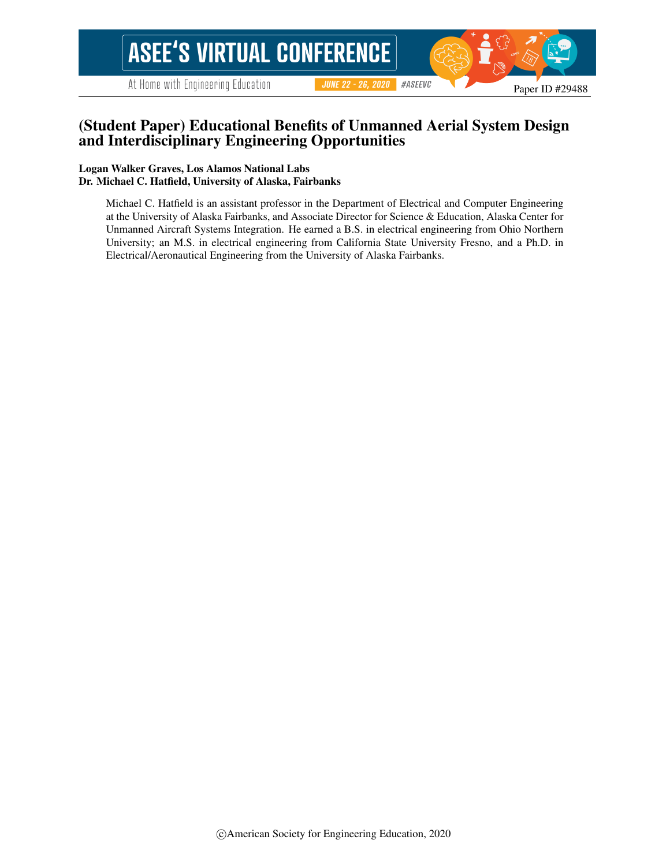# **ASEE'S VIRTUAL CONFERENCE**

At Home with Engineering Education

#ASEEVC **JUNE 22 - 26, 2020** 

#### (Student Paper) Educational Benefits of Unmanned Aerial System Design and Interdisciplinary Engineering Opportunities

#### Logan Walker Graves, Los Alamos National Labs Dr. Michael C. Hatfield, University of Alaska, Fairbanks

Michael C. Hatfield is an assistant professor in the Department of Electrical and Computer Engineering at the University of Alaska Fairbanks, and Associate Director for Science & Education, Alaska Center for Unmanned Aircraft Systems Integration. He earned a B.S. in electrical engineering from Ohio Northern University; an M.S. in electrical engineering from California State University Fresno, and a Ph.D. in Electrical/Aeronautical Engineering from the University of Alaska Fairbanks.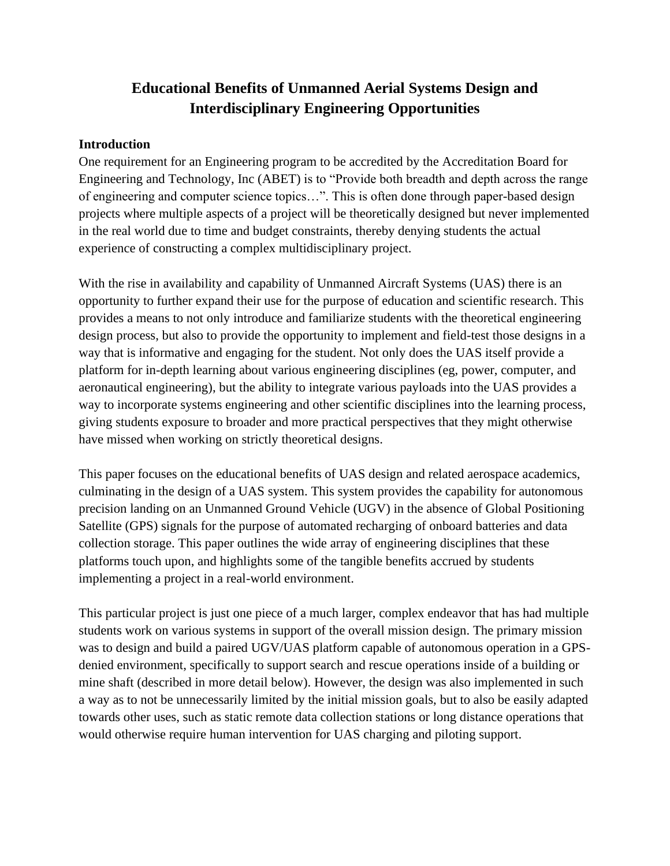# **Educational Benefits of Unmanned Aerial Systems Design and Interdisciplinary Engineering Opportunities**

#### **Introduction**

One requirement for an Engineering program to be accredited by the Accreditation Board for Engineering and Technology, Inc (ABET) is to "Provide both breadth and depth across the range of engineering and computer science topics…". This is often done through paper-based design projects where multiple aspects of a project will be theoretically designed but never implemented in the real world due to time and budget constraints, thereby denying students the actual experience of constructing a complex multidisciplinary project.

With the rise in availability and capability of Unmanned Aircraft Systems (UAS) there is an opportunity to further expand their use for the purpose of education and scientific research. This provides a means to not only introduce and familiarize students with the theoretical engineering design process, but also to provide the opportunity to implement and field-test those designs in a way that is informative and engaging for the student. Not only does the UAS itself provide a platform for in-depth learning about various engineering disciplines (eg, power, computer, and aeronautical engineering), but the ability to integrate various payloads into the UAS provides a way to incorporate systems engineering and other scientific disciplines into the learning process, giving students exposure to broader and more practical perspectives that they might otherwise have missed when working on strictly theoretical designs.

This paper focuses on the educational benefits of UAS design and related aerospace academics, culminating in the design of a UAS system. This system provides the capability for autonomous precision landing on an Unmanned Ground Vehicle (UGV) in the absence of Global Positioning Satellite (GPS) signals for the purpose of automated recharging of onboard batteries and data collection storage. This paper outlines the wide array of engineering disciplines that these platforms touch upon, and highlights some of the tangible benefits accrued by students implementing a project in a real-world environment.

This particular project is just one piece of a much larger, complex endeavor that has had multiple students work on various systems in support of the overall mission design. The primary mission was to design and build a paired UGV/UAS platform capable of autonomous operation in a GPSdenied environment, specifically to support search and rescue operations inside of a building or mine shaft (described in more detail below). However, the design was also implemented in such a way as to not be unnecessarily limited by the initial mission goals, but to also be easily adapted towards other uses, such as static remote data collection stations or long distance operations that would otherwise require human intervention for UAS charging and piloting support.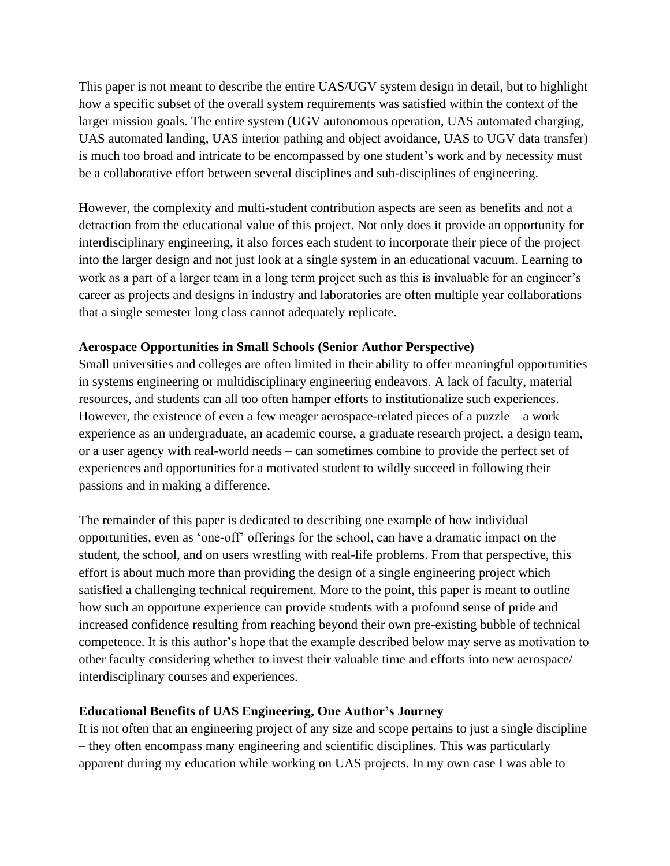This paper is not meant to describe the entire UAS/UGV system design in detail, but to highlight how a specific subset of the overall system requirements was satisfied within the context of the larger mission goals. The entire system (UGV autonomous operation, UAS automated charging, UAS automated landing, UAS interior pathing and object avoidance, UAS to UGV data transfer) is much too broad and intricate to be encompassed by one student's work and by necessity must be a collaborative effort between several disciplines and sub-disciplines of engineering.

However, the complexity and multi-student contribution aspects are seen as benefits and not a detraction from the educational value of this project. Not only does it provide an opportunity for interdisciplinary engineering, it also forces each student to incorporate their piece of the project into the larger design and not just look at a single system in an educational vacuum. Learning to work as a part of a larger team in a long term project such as this is invaluable for an engineer's career as projects and designs in industry and laboratories are often multiple year collaborations that a single semester long class cannot adequately replicate.

#### **Aerospace Opportunities in Small Schools (Senior Author Perspective)**

Small universities and colleges are often limited in their ability to offer meaningful opportunities in systems engineering or multidisciplinary engineering endeavors. A lack of faculty, material resources, and students can all too often hamper efforts to institutionalize such experiences. However, the existence of even a few meager aerospace-related pieces of a puzzle – a work experience as an undergraduate, an academic course, a graduate research project, a design team, or a user agency with real-world needs – can sometimes combine to provide the perfect set of experiences and opportunities for a motivated student to wildly succeed in following their passions and in making a difference.

The remainder of this paper is dedicated to describing one example of how individual opportunities, even as 'one-off' offerings for the school, can have a dramatic impact on the student, the school, and on users wrestling with real-life problems. From that perspective, this effort is about much more than providing the design of a single engineering project which satisfied a challenging technical requirement. More to the point, this paper is meant to outline how such an opportune experience can provide students with a profound sense of pride and increased confidence resulting from reaching beyond their own pre-existing bubble of technical competence. It is this author's hope that the example described below may serve as motivation to other faculty considering whether to invest their valuable time and efforts into new aerospace/ interdisciplinary courses and experiences.

#### **Educational Benefits of UAS Engineering, One Author's Journey**

It is not often that an engineering project of any size and scope pertains to just a single discipline – they often encompass many engineering and scientific disciplines. This was particularly apparent during my education while working on UAS projects. In my own case I was able to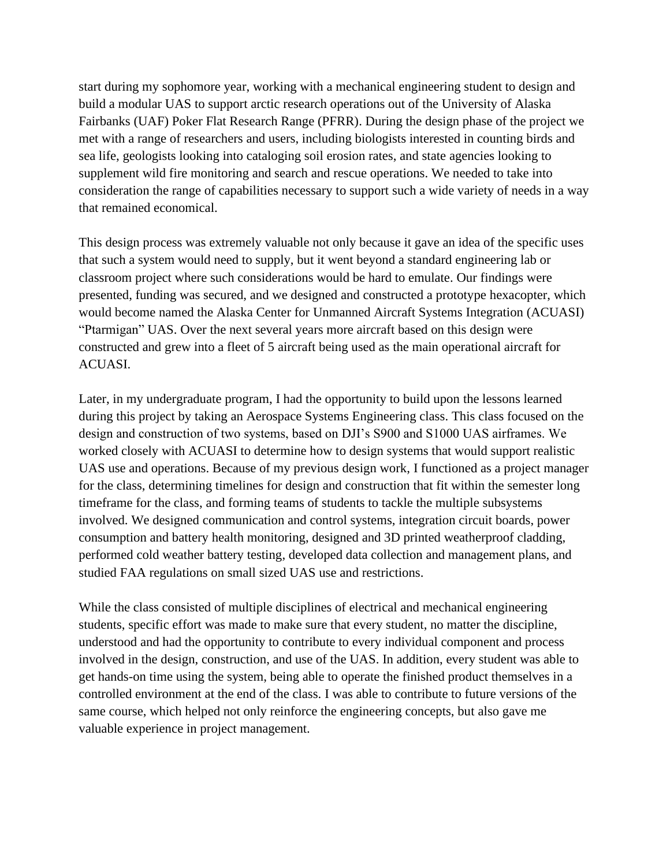start during my sophomore year, working with a mechanical engineering student to design and build a modular UAS to support arctic research operations out of the University of Alaska Fairbanks (UAF) Poker Flat Research Range (PFRR). During the design phase of the project we met with a range of researchers and users, including biologists interested in counting birds and sea life, geologists looking into cataloging soil erosion rates, and state agencies looking to supplement wild fire monitoring and search and rescue operations. We needed to take into consideration the range of capabilities necessary to support such a wide variety of needs in a way that remained economical.

This design process was extremely valuable not only because it gave an idea of the specific uses that such a system would need to supply, but it went beyond a standard engineering lab or classroom project where such considerations would be hard to emulate. Our findings were presented, funding was secured, and we designed and constructed a prototype hexacopter, which would become named the Alaska Center for Unmanned Aircraft Systems Integration (ACUASI) "Ptarmigan" UAS. Over the next several years more aircraft based on this design were constructed and grew into a fleet of 5 aircraft being used as the main operational aircraft for ACUASI.

Later, in my undergraduate program, I had the opportunity to build upon the lessons learned during this project by taking an Aerospace Systems Engineering class. This class focused on the design and construction of two systems, based on DJI's S900 and S1000 UAS airframes. We worked closely with ACUASI to determine how to design systems that would support realistic UAS use and operations. Because of my previous design work, I functioned as a project manager for the class, determining timelines for design and construction that fit within the semester long timeframe for the class, and forming teams of students to tackle the multiple subsystems involved. We designed communication and control systems, integration circuit boards, power consumption and battery health monitoring, designed and 3D printed weatherproof cladding, performed cold weather battery testing, developed data collection and management plans, and studied FAA regulations on small sized UAS use and restrictions.

While the class consisted of multiple disciplines of electrical and mechanical engineering students, specific effort was made to make sure that every student, no matter the discipline, understood and had the opportunity to contribute to every individual component and process involved in the design, construction, and use of the UAS. In addition, every student was able to get hands-on time using the system, being able to operate the finished product themselves in a controlled environment at the end of the class. I was able to contribute to future versions of the same course, which helped not only reinforce the engineering concepts, but also gave me valuable experience in project management.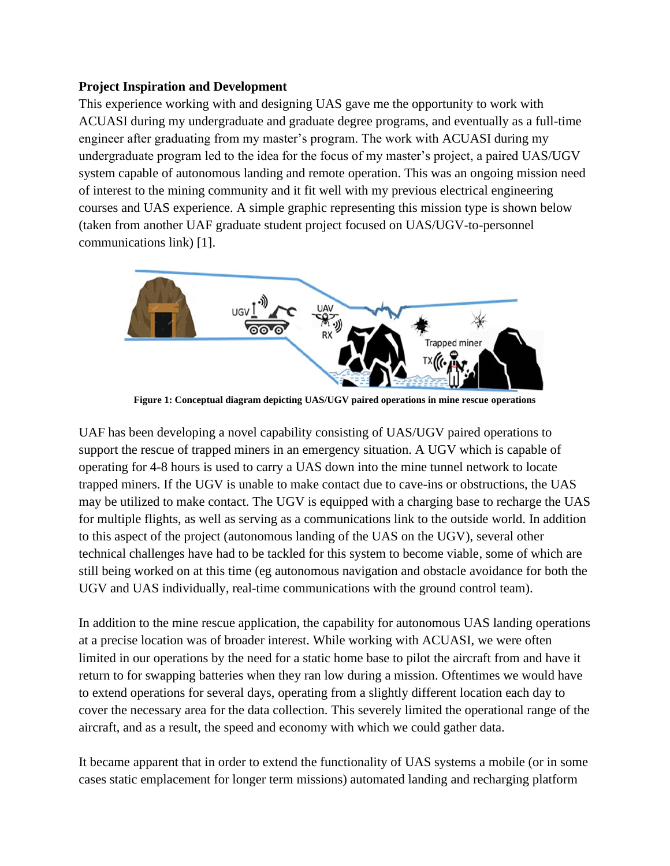#### **Project Inspiration and Development**

This experience working with and designing UAS gave me the opportunity to work with ACUASI during my undergraduate and graduate degree programs, and eventually as a full-time engineer after graduating from my master's program. The work with ACUASI during my undergraduate program led to the idea for the focus of my master's project, a paired UAS/UGV system capable of autonomous landing and remote operation. This was an ongoing mission need of interest to the mining community and it fit well with my previous electrical engineering courses and UAS experience. A simple graphic representing this mission type is shown below (taken from another UAF graduate student project focused on UAS/UGV-to-personnel communications link) [1].



**Figure 1: Conceptual diagram depicting UAS/UGV paired operations in mine rescue operations**

UAF has been developing a novel capability consisting of UAS/UGV paired operations to support the rescue of trapped miners in an emergency situation. A UGV which is capable of operating for 4-8 hours is used to carry a UAS down into the mine tunnel network to locate trapped miners. If the UGV is unable to make contact due to cave-ins or obstructions, the UAS may be utilized to make contact. The UGV is equipped with a charging base to recharge the UAS for multiple flights, as well as serving as a communications link to the outside world. In addition to this aspect of the project (autonomous landing of the UAS on the UGV), several other technical challenges have had to be tackled for this system to become viable, some of which are still being worked on at this time (eg autonomous navigation and obstacle avoidance for both the UGV and UAS individually, real-time communications with the ground control team).

In addition to the mine rescue application, the capability for autonomous UAS landing operations at a precise location was of broader interest. While working with ACUASI, we were often limited in our operations by the need for a static home base to pilot the aircraft from and have it return to for swapping batteries when they ran low during a mission. Oftentimes we would have to extend operations for several days, operating from a slightly different location each day to cover the necessary area for the data collection. This severely limited the operational range of the aircraft, and as a result, the speed and economy with which we could gather data.

It became apparent that in order to extend the functionality of UAS systems a mobile (or in some cases static emplacement for longer term missions) automated landing and recharging platform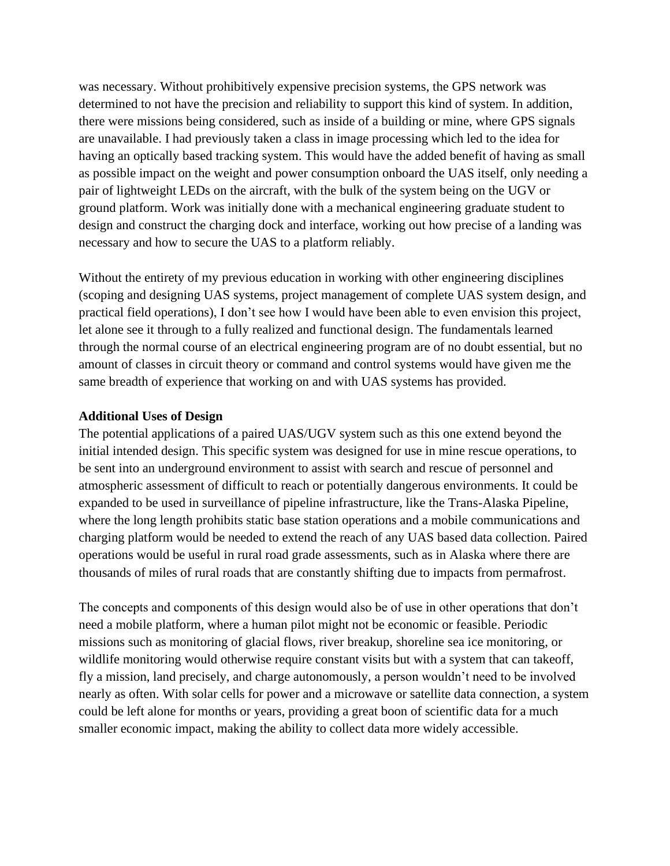was necessary. Without prohibitively expensive precision systems, the GPS network was determined to not have the precision and reliability to support this kind of system. In addition, there were missions being considered, such as inside of a building or mine, where GPS signals are unavailable. I had previously taken a class in image processing which led to the idea for having an optically based tracking system. This would have the added benefit of having as small as possible impact on the weight and power consumption onboard the UAS itself, only needing a pair of lightweight LEDs on the aircraft, with the bulk of the system being on the UGV or ground platform. Work was initially done with a mechanical engineering graduate student to design and construct the charging dock and interface, working out how precise of a landing was necessary and how to secure the UAS to a platform reliably.

Without the entirety of my previous education in working with other engineering disciplines (scoping and designing UAS systems, project management of complete UAS system design, and practical field operations), I don't see how I would have been able to even envision this project, let alone see it through to a fully realized and functional design. The fundamentals learned through the normal course of an electrical engineering program are of no doubt essential, but no amount of classes in circuit theory or command and control systems would have given me the same breadth of experience that working on and with UAS systems has provided.

#### **Additional Uses of Design**

The potential applications of a paired UAS/UGV system such as this one extend beyond the initial intended design. This specific system was designed for use in mine rescue operations, to be sent into an underground environment to assist with search and rescue of personnel and atmospheric assessment of difficult to reach or potentially dangerous environments. It could be expanded to be used in surveillance of pipeline infrastructure, like the Trans-Alaska Pipeline, where the long length prohibits static base station operations and a mobile communications and charging platform would be needed to extend the reach of any UAS based data collection. Paired operations would be useful in rural road grade assessments, such as in Alaska where there are thousands of miles of rural roads that are constantly shifting due to impacts from permafrost.

The concepts and components of this design would also be of use in other operations that don't need a mobile platform, where a human pilot might not be economic or feasible. Periodic missions such as monitoring of glacial flows, river breakup, shoreline sea ice monitoring, or wildlife monitoring would otherwise require constant visits but with a system that can takeoff, fly a mission, land precisely, and charge autonomously, a person wouldn't need to be involved nearly as often. With solar cells for power and a microwave or satellite data connection, a system could be left alone for months or years, providing a great boon of scientific data for a much smaller economic impact, making the ability to collect data more widely accessible.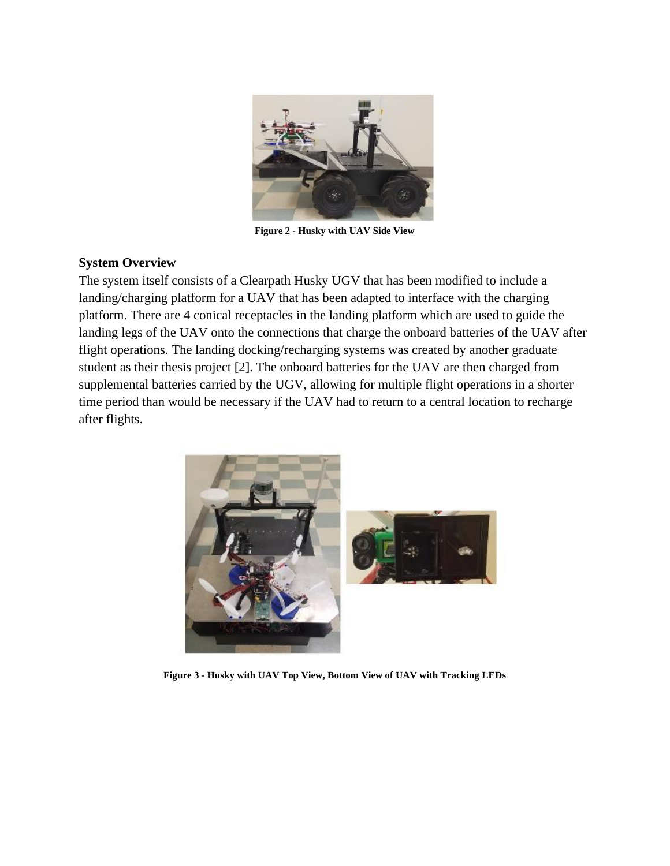

**Figure 2 - Husky with UAV Side View**

#### **System Overview**

The system itself consists of a Clearpath Husky UGV that has been modified to include a landing/charging platform for a UAV that has been adapted to interface with the charging platform. There are 4 conical receptacles in the landing platform which are used to guide the landing legs of the UAV onto the connections that charge the onboard batteries of the UAV after flight operations. The landing docking/recharging systems was created by another graduate student as their thesis project [2]. The onboard batteries for the UAV are then charged from supplemental batteries carried by the UGV, allowing for multiple flight operations in a shorter time period than would be necessary if the UAV had to return to a central location to recharge after flights.



**Figure 3 - Husky with UAV Top View, Bottom View of UAV with Tracking LEDs**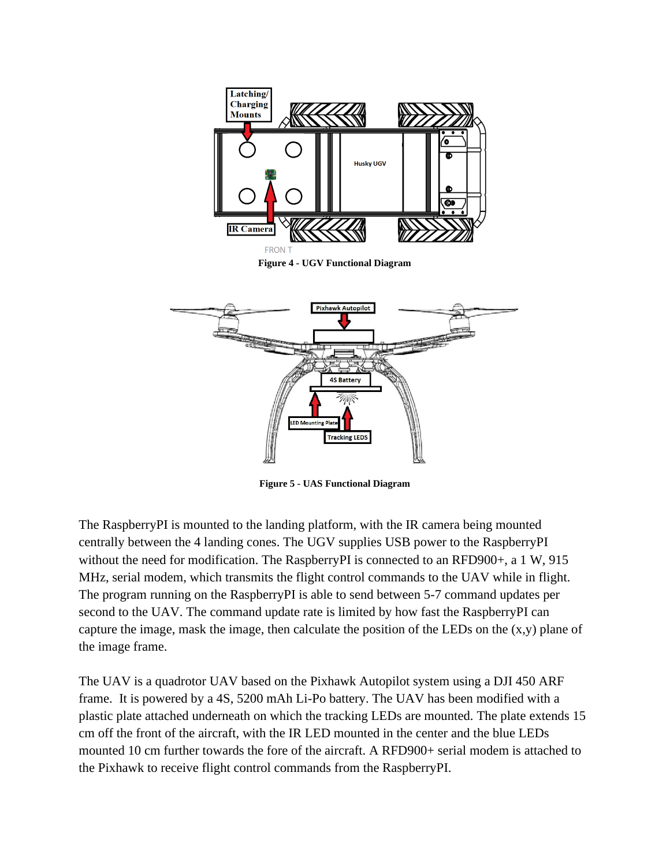

**Figure 4 - UGV Functional Diagram**



**Figure 5 - UAS Functional Diagram**

The RaspberryPI is mounted to the landing platform, with the IR camera being mounted centrally between the 4 landing cones. The UGV supplies USB power to the RaspberryPI without the need for modification. The RaspberryPI is connected to an RFD900+, a 1 W, 915 MHz, serial modem, which transmits the flight control commands to the UAV while in flight. The program running on the RaspberryPI is able to send between 5-7 command updates per second to the UAV. The command update rate is limited by how fast the RaspberryPI can capture the image, mask the image, then calculate the position of the LEDs on the  $(x,y)$  plane of the image frame.

The UAV is a quadrotor UAV based on the Pixhawk Autopilot system using a DJI 450 ARF frame. It is powered by a 4S, 5200 mAh Li-Po battery. The UAV has been modified with a plastic plate attached underneath on which the tracking LEDs are mounted. The plate extends 15 cm off the front of the aircraft, with the IR LED mounted in the center and the blue LEDs mounted 10 cm further towards the fore of the aircraft. A RFD900+ serial modem is attached to the Pixhawk to receive flight control commands from the RaspberryPI.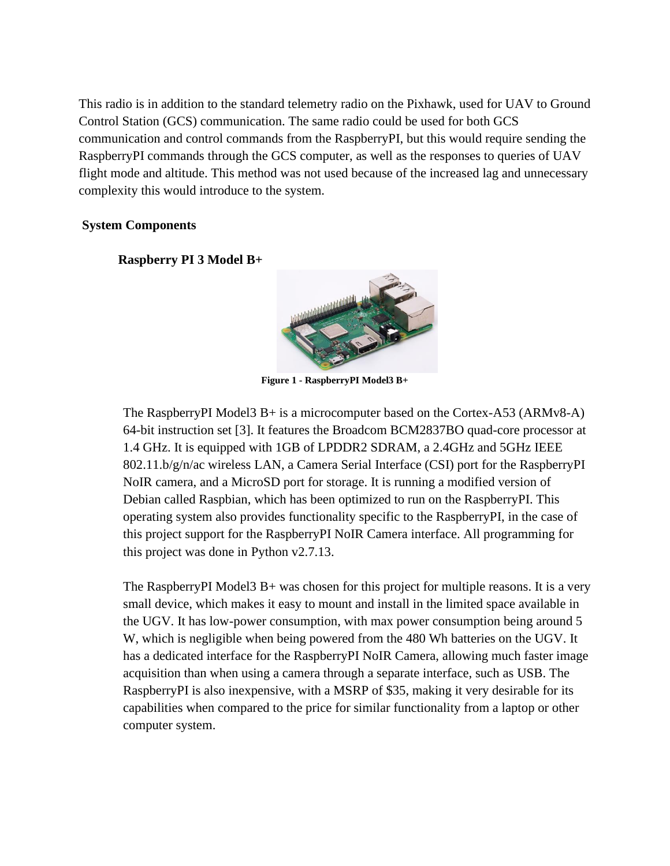This radio is in addition to the standard telemetry radio on the Pixhawk, used for UAV to Ground Control Station (GCS) communication. The same radio could be used for both GCS communication and control commands from the RaspberryPI, but this would require sending the RaspberryPI commands through the GCS computer, as well as the responses to queries of UAV flight mode and altitude. This method was not used because of the increased lag and unnecessary complexity this would introduce to the system.

#### **System Components**

**Raspberry PI 3 Model B+**



**Figure 1 - RaspberryPI Model3 B+**

The RaspberryPI Model3 B+ is a microcomputer based on the Cortex-A53 (ARMv8-A) 64-bit instruction set [3]. It features the Broadcom BCM2837BO quad-core processor at 1.4 GHz. It is equipped with 1GB of LPDDR2 SDRAM, a 2.4GHz and 5GHz IEEE 802.11.b/g/n/ac wireless LAN, a Camera Serial Interface (CSI) port for the RaspberryPI NoIR camera, and a MicroSD port for storage. It is running a modified version of Debian called Raspbian, which has been optimized to run on the RaspberryPI. This operating system also provides functionality specific to the RaspberryPI, in the case of this project support for the RaspberryPI NoIR Camera interface. All programming for this project was done in Python v2.7.13.

The RaspberryPI Model3 B+ was chosen for this project for multiple reasons. It is a very small device, which makes it easy to mount and install in the limited space available in the UGV. It has low-power consumption, with max power consumption being around 5 W, which is negligible when being powered from the 480 Wh batteries on the UGV. It has a dedicated interface for the RaspberryPI NoIR Camera, allowing much faster image acquisition than when using a camera through a separate interface, such as USB. The RaspberryPI is also inexpensive, with a MSRP of \$35, making it very desirable for its capabilities when compared to the price for similar functionality from a laptop or other computer system.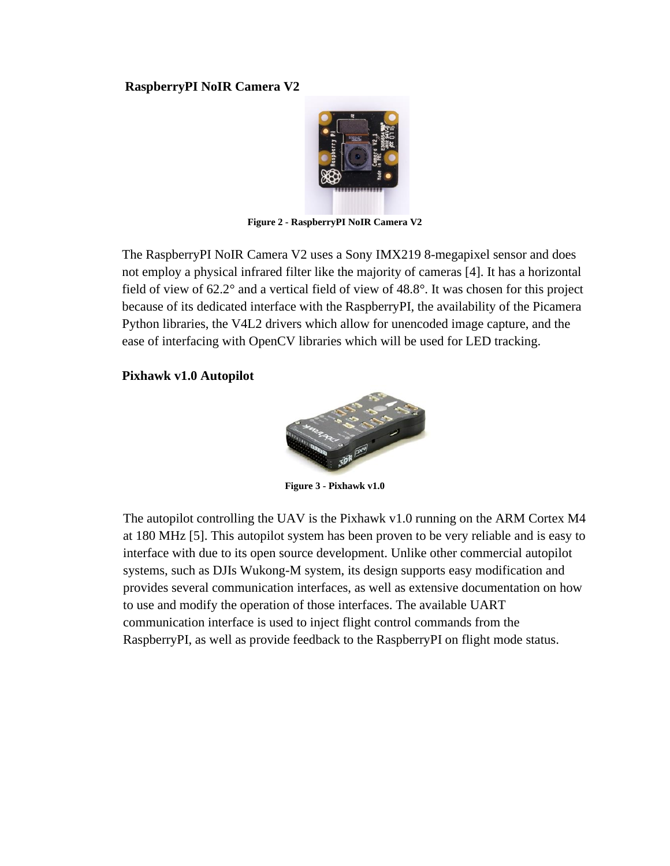#### **RaspberryPI NoIR Camera V2**



**Figure 2 - RaspberryPI NoIR Camera V2**

The RaspberryPI NoIR Camera V2 uses a Sony IMX219 8-megapixel sensor and does not employ a physical infrared filter like the majority of cameras [4]. It has a horizontal field of view of 62.2° and a vertical field of view of 48.8°. It was chosen for this project because of its dedicated interface with the RaspberryPI, the availability of the Picamera Python libraries, the V4L2 drivers which allow for unencoded image capture, and the ease of interfacing with OpenCV libraries which will be used for LED tracking.

#### **Pixhawk v1.0 Autopilot**



**Figure 3 - Pixhawk v1.0**

The autopilot controlling the UAV is the Pixhawk v1.0 running on the ARM Cortex M4 at 180 MHz [5]. This autopilot system has been proven to be very reliable and is easy to interface with due to its open source development. Unlike other commercial autopilot systems, such as DJIs Wukong-M system, its design supports easy modification and provides several communication interfaces, as well as extensive documentation on how to use and modify the operation of those interfaces. The available UART communication interface is used to inject flight control commands from the RaspberryPI, as well as provide feedback to the RaspberryPI on flight mode status.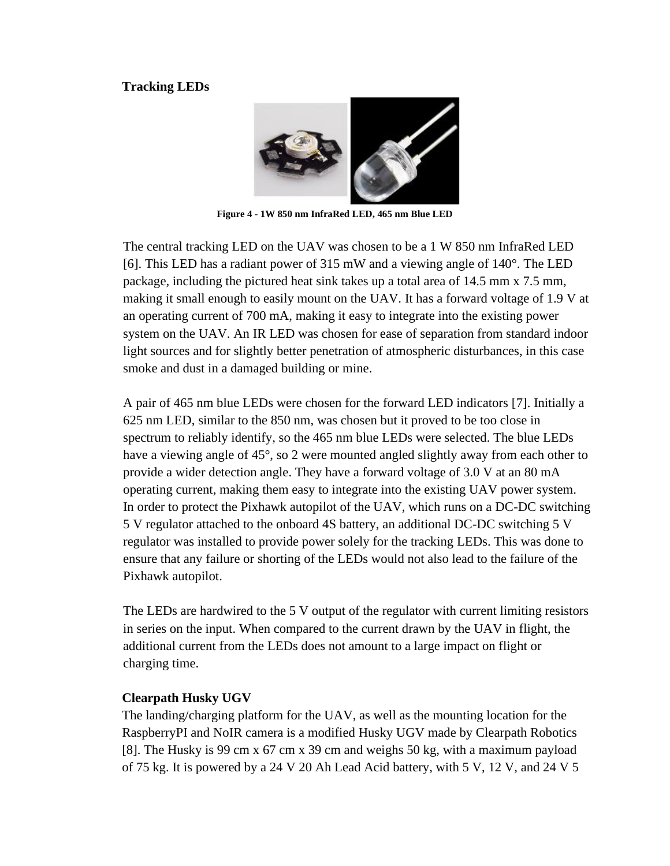#### **Tracking LEDs**



**Figure 4 - 1W 850 nm InfraRed LED, 465 nm Blue LED**

The central tracking LED on the UAV was chosen to be a 1 W 850 nm InfraRed LED [6]. This LED has a radiant power of 315 mW and a viewing angle of 140°. The LED package, including the pictured heat sink takes up a total area of 14.5 mm x 7.5 mm, making it small enough to easily mount on the UAV. It has a forward voltage of 1.9 V at an operating current of 700 mA, making it easy to integrate into the existing power system on the UAV. An IR LED was chosen for ease of separation from standard indoor light sources and for slightly better penetration of atmospheric disturbances, in this case smoke and dust in a damaged building or mine.

A pair of 465 nm blue LEDs were chosen for the forward LED indicators [7]. Initially a 625 nm LED, similar to the 850 nm, was chosen but it proved to be too close in spectrum to reliably identify, so the 465 nm blue LEDs were selected. The blue LEDs have a viewing angle of 45°, so 2 were mounted angled slightly away from each other to provide a wider detection angle. They have a forward voltage of 3.0 V at an 80 mA operating current, making them easy to integrate into the existing UAV power system. In order to protect the Pixhawk autopilot of the UAV, which runs on a DC-DC switching 5 V regulator attached to the onboard 4S battery, an additional DC-DC switching 5 V regulator was installed to provide power solely for the tracking LEDs. This was done to ensure that any failure or shorting of the LEDs would not also lead to the failure of the Pixhawk autopilot.

The LEDs are hardwired to the 5 V output of the regulator with current limiting resistors in series on the input. When compared to the current drawn by the UAV in flight, the additional current from the LEDs does not amount to a large impact on flight or charging time.

#### **Clearpath Husky UGV**

The landing/charging platform for the UAV, as well as the mounting location for the RaspberryPI and NoIR camera is a modified Husky UGV made by Clearpath Robotics [8]. The Husky is 99 cm x 67 cm x 39 cm and weighs 50 kg, with a maximum payload of 75 kg. It is powered by a 24 V 20 Ah Lead Acid battery, with 5 V, 12 V, and 24 V 5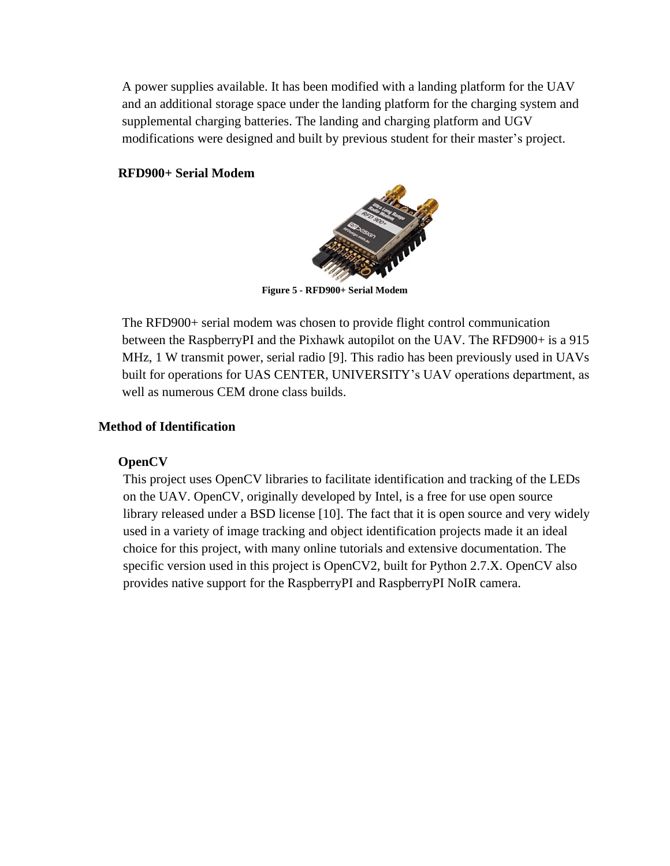A power supplies available. It has been modified with a landing platform for the UAV and an additional storage space under the landing platform for the charging system and supplemental charging batteries. The landing and charging platform and UGV modifications were designed and built by previous student for their master's project.

#### **RFD900+ Serial Modem**



**Figure 5 - RFD900+ Serial Modem**

The RFD900+ serial modem was chosen to provide flight control communication between the RaspberryPI and the Pixhawk autopilot on the UAV. The RFD900+ is a 915 MHz, 1 W transmit power, serial radio [9]. This radio has been previously used in UAVs built for operations for UAS CENTER, UNIVERSITY's UAV operations department, as well as numerous CEM drone class builds.

#### **Method of Identification**

#### **OpenCV**

This project uses OpenCV libraries to facilitate identification and tracking of the LEDs on the UAV. OpenCV, originally developed by Intel, is a free for use open source library released under a BSD license [10]. The fact that it is open source and very widely used in a variety of image tracking and object identification projects made it an ideal choice for this project, with many online tutorials and extensive documentation. The specific version used in this project is OpenCV2, built for Python 2.7.X. OpenCV also provides native support for the RaspberryPI and RaspberryPI NoIR camera.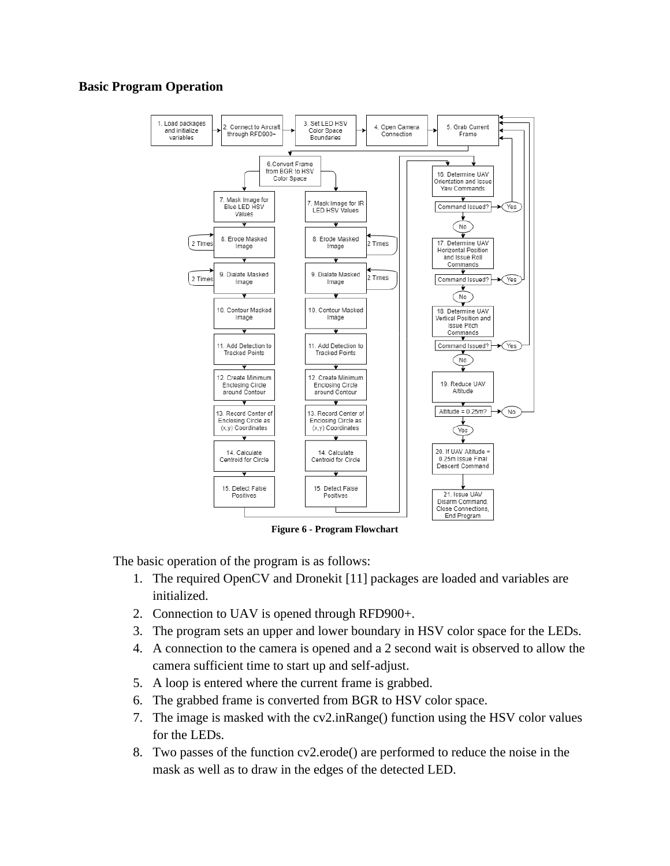#### **Basic Program Operation**



**Figure 6 - Program Flowchart**

The basic operation of the program is as follows:

- 1. The required OpenCV and Dronekit [11] packages are loaded and variables are initialized.
- 2. Connection to UAV is opened through RFD900+.
- 3. The program sets an upper and lower boundary in HSV color space for the LEDs.
- 4. A connection to the camera is opened and a 2 second wait is observed to allow the camera sufficient time to start up and self-adjust.
- 5. A loop is entered where the current frame is grabbed.
- 6. The grabbed frame is converted from BGR to HSV color space.
- 7. The image is masked with the cv2.inRange() function using the HSV color values for the LEDs.
- 8. Two passes of the function cv2.erode() are performed to reduce the noise in the mask as well as to draw in the edges of the detected LED.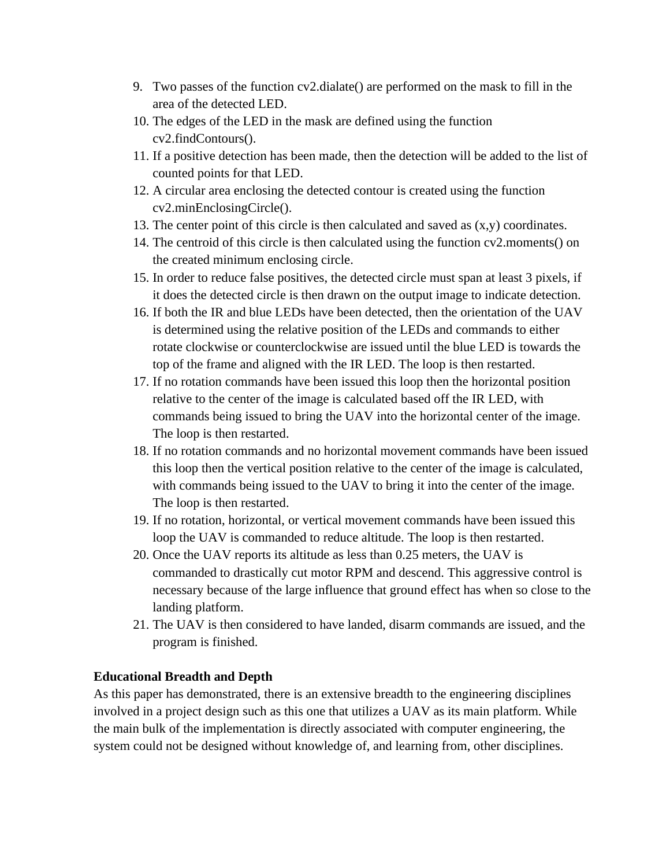- 9. Two passes of the function cv2.dialate() are performed on the mask to fill in the area of the detected LED.
- 10. The edges of the LED in the mask are defined using the function cv2.findContours().
- 11. If a positive detection has been made, then the detection will be added to the list of counted points for that LED.
- 12. A circular area enclosing the detected contour is created using the function cv2.minEnclosingCircle().
- 13. The center point of this circle is then calculated and saved as  $(x,y)$  coordinates.
- 14. The centroid of this circle is then calculated using the function  $cv2$  moments() on the created minimum enclosing circle.
- 15. In order to reduce false positives, the detected circle must span at least 3 pixels, if it does the detected circle is then drawn on the output image to indicate detection.
- 16. If both the IR and blue LEDs have been detected, then the orientation of the UAV is determined using the relative position of the LEDs and commands to either rotate clockwise or counterclockwise are issued until the blue LED is towards the top of the frame and aligned with the IR LED. The loop is then restarted.
- 17. If no rotation commands have been issued this loop then the horizontal position relative to the center of the image is calculated based off the IR LED, with commands being issued to bring the UAV into the horizontal center of the image. The loop is then restarted.
- 18. If no rotation commands and no horizontal movement commands have been issued this loop then the vertical position relative to the center of the image is calculated, with commands being issued to the UAV to bring it into the center of the image. The loop is then restarted.
- 19. If no rotation, horizontal, or vertical movement commands have been issued this loop the UAV is commanded to reduce altitude. The loop is then restarted.
- 20. Once the UAV reports its altitude as less than 0.25 meters, the UAV is commanded to drastically cut motor RPM and descend. This aggressive control is necessary because of the large influence that ground effect has when so close to the landing platform.
- 21. The UAV is then considered to have landed, disarm commands are issued, and the program is finished.

#### **Educational Breadth and Depth**

As this paper has demonstrated, there is an extensive breadth to the engineering disciplines involved in a project design such as this one that utilizes a UAV as its main platform. While the main bulk of the implementation is directly associated with computer engineering, the system could not be designed without knowledge of, and learning from, other disciplines.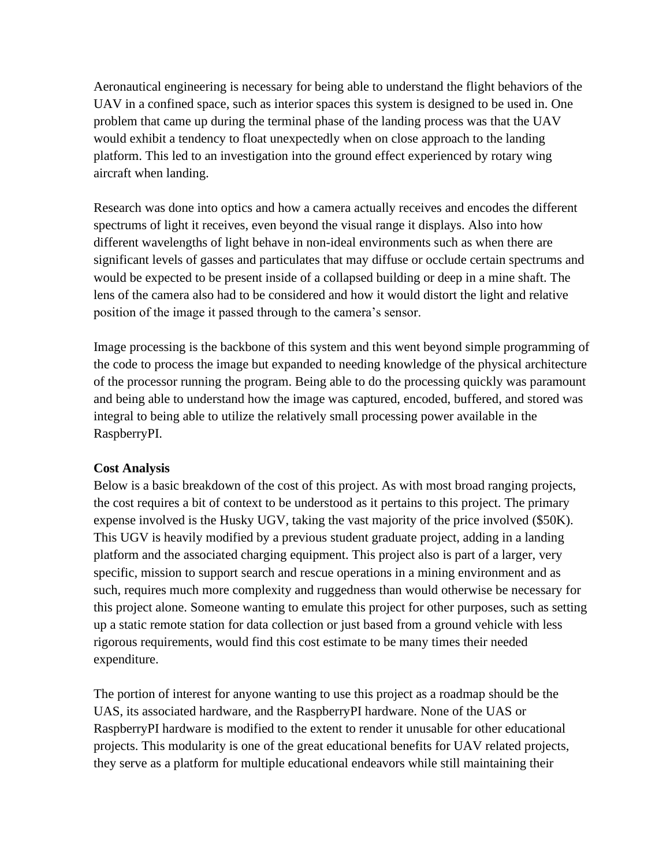Aeronautical engineering is necessary for being able to understand the flight behaviors of the UAV in a confined space, such as interior spaces this system is designed to be used in. One problem that came up during the terminal phase of the landing process was that the UAV would exhibit a tendency to float unexpectedly when on close approach to the landing platform. This led to an investigation into the ground effect experienced by rotary wing aircraft when landing.

Research was done into optics and how a camera actually receives and encodes the different spectrums of light it receives, even beyond the visual range it displays. Also into how different wavelengths of light behave in non-ideal environments such as when there are significant levels of gasses and particulates that may diffuse or occlude certain spectrums and would be expected to be present inside of a collapsed building or deep in a mine shaft. The lens of the camera also had to be considered and how it would distort the light and relative position of the image it passed through to the camera's sensor.

Image processing is the backbone of this system and this went beyond simple programming of the code to process the image but expanded to needing knowledge of the physical architecture of the processor running the program. Being able to do the processing quickly was paramount and being able to understand how the image was captured, encoded, buffered, and stored was integral to being able to utilize the relatively small processing power available in the RaspberryPI.

#### **Cost Analysis**

Below is a basic breakdown of the cost of this project. As with most broad ranging projects, the cost requires a bit of context to be understood as it pertains to this project. The primary expense involved is the Husky UGV, taking the vast majority of the price involved (\$50K). This UGV is heavily modified by a previous student graduate project, adding in a landing platform and the associated charging equipment. This project also is part of a larger, very specific, mission to support search and rescue operations in a mining environment and as such, requires much more complexity and ruggedness than would otherwise be necessary for this project alone. Someone wanting to emulate this project for other purposes, such as setting up a static remote station for data collection or just based from a ground vehicle with less rigorous requirements, would find this cost estimate to be many times their needed expenditure.

The portion of interest for anyone wanting to use this project as a roadmap should be the UAS, its associated hardware, and the RaspberryPI hardware. None of the UAS or RaspberryPI hardware is modified to the extent to render it unusable for other educational projects. This modularity is one of the great educational benefits for UAV related projects, they serve as a platform for multiple educational endeavors while still maintaining their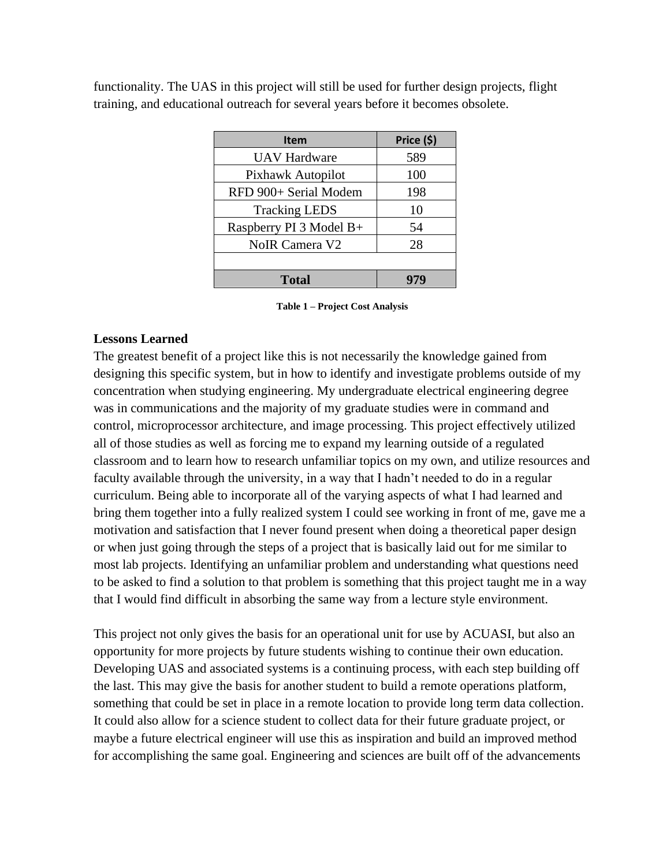functionality. The UAS in this project will still be used for further design projects, flight training, and educational outreach for several years before it becomes obsolete.

| <b>Item</b>             | Price (\$) |
|-------------------------|------------|
| <b>UAV Hardware</b>     | 589        |
| Pixhawk Autopilot       | 100        |
| RFD 900+ Serial Modem   | 198        |
| <b>Tracking LEDS</b>    | 10         |
| Raspberry PI 3 Model B+ | 54         |
| <b>NoIR Camera V2</b>   | 28         |
|                         |            |
| <b>Total</b>            |            |

**Table 1 – Project Cost Analysis**

#### **Lessons Learned**

The greatest benefit of a project like this is not necessarily the knowledge gained from designing this specific system, but in how to identify and investigate problems outside of my concentration when studying engineering. My undergraduate electrical engineering degree was in communications and the majority of my graduate studies were in command and control, microprocessor architecture, and image processing. This project effectively utilized all of those studies as well as forcing me to expand my learning outside of a regulated classroom and to learn how to research unfamiliar topics on my own, and utilize resources and faculty available through the university, in a way that I hadn't needed to do in a regular curriculum. Being able to incorporate all of the varying aspects of what I had learned and bring them together into a fully realized system I could see working in front of me, gave me a motivation and satisfaction that I never found present when doing a theoretical paper design or when just going through the steps of a project that is basically laid out for me similar to most lab projects. Identifying an unfamiliar problem and understanding what questions need to be asked to find a solution to that problem is something that this project taught me in a way that I would find difficult in absorbing the same way from a lecture style environment.

This project not only gives the basis for an operational unit for use by ACUASI, but also an opportunity for more projects by future students wishing to continue their own education. Developing UAS and associated systems is a continuing process, with each step building off the last. This may give the basis for another student to build a remote operations platform, something that could be set in place in a remote location to provide long term data collection. It could also allow for a science student to collect data for their future graduate project, or maybe a future electrical engineer will use this as inspiration and build an improved method for accomplishing the same goal. Engineering and sciences are built off of the advancements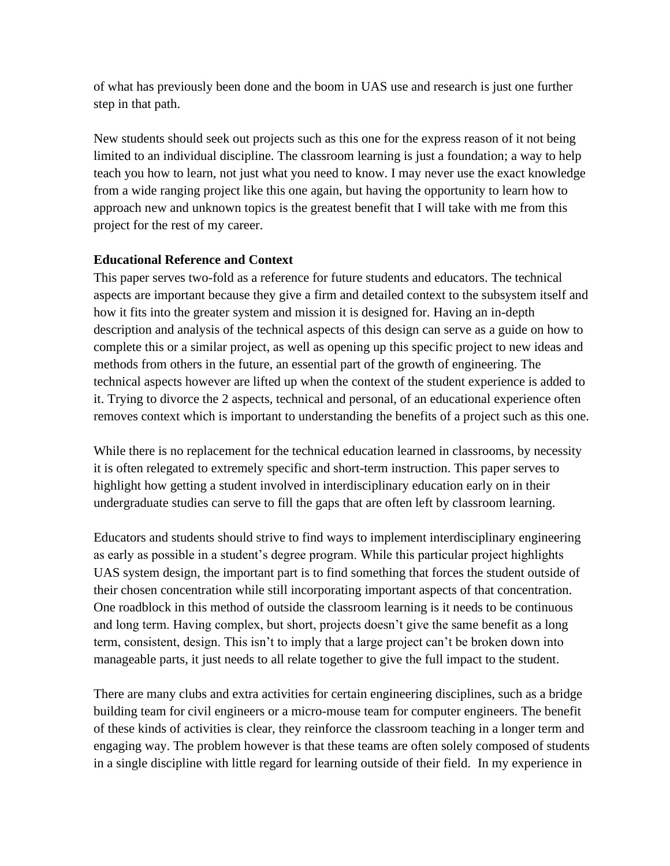of what has previously been done and the boom in UAS use and research is just one further step in that path.

New students should seek out projects such as this one for the express reason of it not being limited to an individual discipline. The classroom learning is just a foundation; a way to help teach you how to learn, not just what you need to know. I may never use the exact knowledge from a wide ranging project like this one again, but having the opportunity to learn how to approach new and unknown topics is the greatest benefit that I will take with me from this project for the rest of my career.

#### **Educational Reference and Context**

This paper serves two-fold as a reference for future students and educators. The technical aspects are important because they give a firm and detailed context to the subsystem itself and how it fits into the greater system and mission it is designed for. Having an in-depth description and analysis of the technical aspects of this design can serve as a guide on how to complete this or a similar project, as well as opening up this specific project to new ideas and methods from others in the future, an essential part of the growth of engineering. The technical aspects however are lifted up when the context of the student experience is added to it. Trying to divorce the 2 aspects, technical and personal, of an educational experience often removes context which is important to understanding the benefits of a project such as this one.

While there is no replacement for the technical education learned in classrooms, by necessity it is often relegated to extremely specific and short-term instruction. This paper serves to highlight how getting a student involved in interdisciplinary education early on in their undergraduate studies can serve to fill the gaps that are often left by classroom learning.

Educators and students should strive to find ways to implement interdisciplinary engineering as early as possible in a student's degree program. While this particular project highlights UAS system design, the important part is to find something that forces the student outside of their chosen concentration while still incorporating important aspects of that concentration. One roadblock in this method of outside the classroom learning is it needs to be continuous and long term. Having complex, but short, projects doesn't give the same benefit as a long term, consistent, design. This isn't to imply that a large project can't be broken down into manageable parts, it just needs to all relate together to give the full impact to the student.

There are many clubs and extra activities for certain engineering disciplines, such as a bridge building team for civil engineers or a micro-mouse team for computer engineers. The benefit of these kinds of activities is clear, they reinforce the classroom teaching in a longer term and engaging way. The problem however is that these teams are often solely composed of students in a single discipline with little regard for learning outside of their field. In my experience in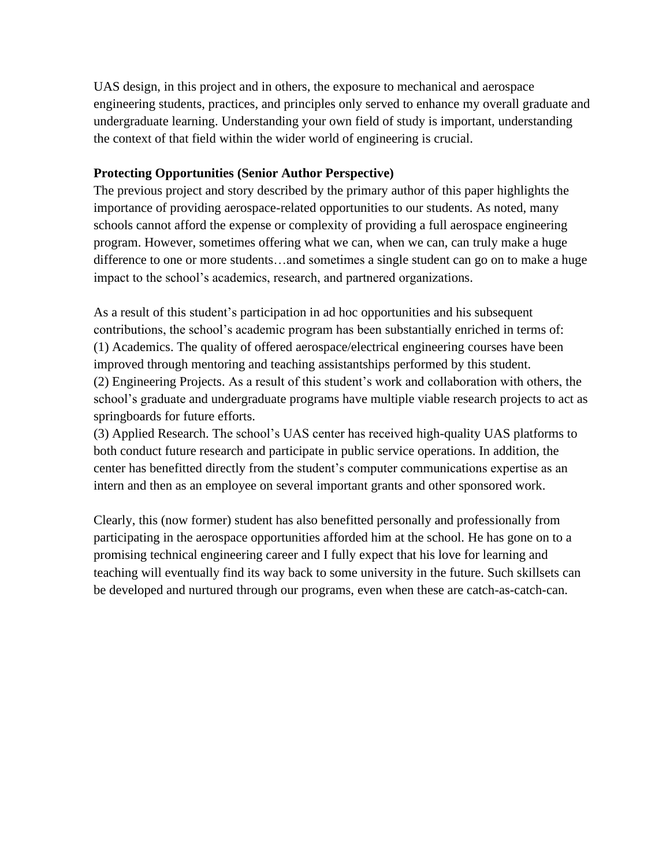UAS design, in this project and in others, the exposure to mechanical and aerospace engineering students, practices, and principles only served to enhance my overall graduate and undergraduate learning. Understanding your own field of study is important, understanding the context of that field within the wider world of engineering is crucial.

#### **Protecting Opportunities (Senior Author Perspective)**

The previous project and story described by the primary author of this paper highlights the importance of providing aerospace-related opportunities to our students. As noted, many schools cannot afford the expense or complexity of providing a full aerospace engineering program. However, sometimes offering what we can, when we can, can truly make a huge difference to one or more students…and sometimes a single student can go on to make a huge impact to the school's academics, research, and partnered organizations.

As a result of this student's participation in ad hoc opportunities and his subsequent contributions, the school's academic program has been substantially enriched in terms of: (1) Academics. The quality of offered aerospace/electrical engineering courses have been improved through mentoring and teaching assistantships performed by this student. (2) Engineering Projects. As a result of this student's work and collaboration with others, the school's graduate and undergraduate programs have multiple viable research projects to act as springboards for future efforts.

(3) Applied Research. The school's UAS center has received high-quality UAS platforms to both conduct future research and participate in public service operations. In addition, the center has benefitted directly from the student's computer communications expertise as an intern and then as an employee on several important grants and other sponsored work.

Clearly, this (now former) student has also benefitted personally and professionally from participating in the aerospace opportunities afforded him at the school. He has gone on to a promising technical engineering career and I fully expect that his love for learning and teaching will eventually find its way back to some university in the future. Such skillsets can be developed and nurtured through our programs, even when these are catch-as-catch-can.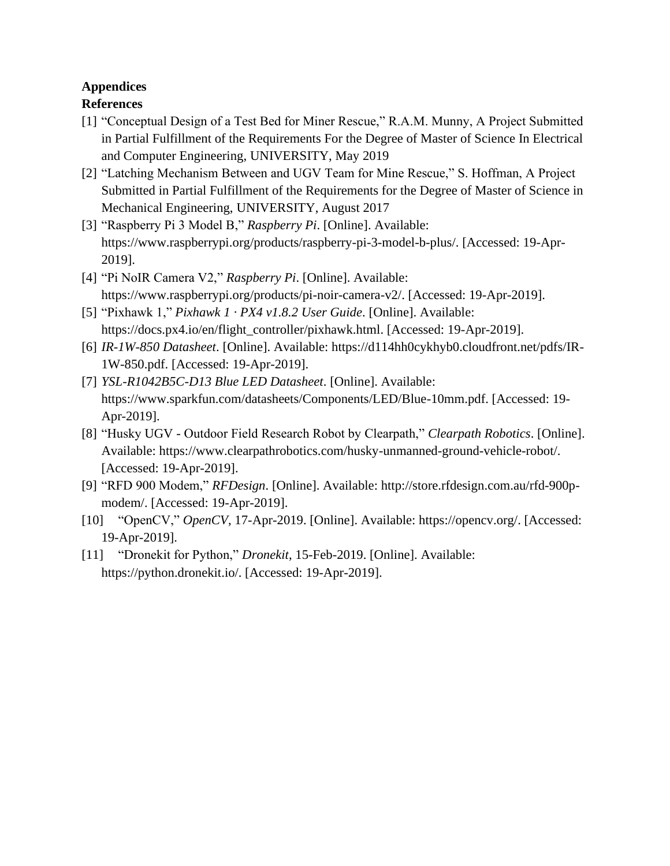# **Appendices**

### **References**

- [1] "Conceptual Design of a Test Bed for Miner Rescue," R.A.M. Munny, A Project Submitted in Partial Fulfillment of the Requirements For the Degree of Master of Science In Electrical and Computer Engineering, UNIVERSITY, May 2019
- [2] "Latching Mechanism Between and UGV Team for Mine Rescue," S. Hoffman, A Project Submitted in Partial Fulfillment of the Requirements for the Degree of Master of Science in Mechanical Engineering, UNIVERSITY, August 2017
- [3] "Raspberry Pi 3 Model B," *Raspberry Pi*. [Online]. Available: https://www.raspberrypi.org/products/raspberry-pi-3-model-b-plus/. [Accessed: 19-Apr-2019].
- [4] "Pi NoIR Camera V2," *Raspberry Pi*. [Online]. Available: https://www.raspberrypi.org/products/pi-noir-camera-v2/. [Accessed: 19-Apr-2019].
- [5] "Pixhawk 1," *Pixhawk 1 · PX4 v1.8.2 User Guide*. [Online]. Available: https://docs.px4.io/en/flight\_controller/pixhawk.html. [Accessed: 19-Apr-2019].
- [6] *IR-1W-850 Datasheet*. [Online]. Available: https://d114hh0cykhyb0.cloudfront.net/pdfs/IR-1W-850.pdf. [Accessed: 19-Apr-2019].
- [7] *YSL-R1042B5C-D13 Blue LED Datasheet*. [Online]. Available: https://www.sparkfun.com/datasheets/Components/LED/Blue-10mm.pdf. [Accessed: 19- Apr-2019].
- [8] "Husky UGV Outdoor Field Research Robot by Clearpath," *Clearpath Robotics*. [Online]. Available: https://www.clearpathrobotics.com/husky-unmanned-ground-vehicle-robot/. [Accessed: 19-Apr-2019].
- [9] "RFD 900 Modem," *RFDesign*. [Online]. Available: http://store.rfdesign.com.au/rfd-900pmodem/. [Accessed: 19-Apr-2019].
- [10] "OpenCV," *OpenCV*, 17-Apr-2019. [Online]. Available: https://opencv.org/. [Accessed: 19-Apr-2019].
- [11] "Dronekit for Python," *Dronekit*, 15-Feb-2019. [Online]. Available: https://python.dronekit.io/. [Accessed: 19-Apr-2019].